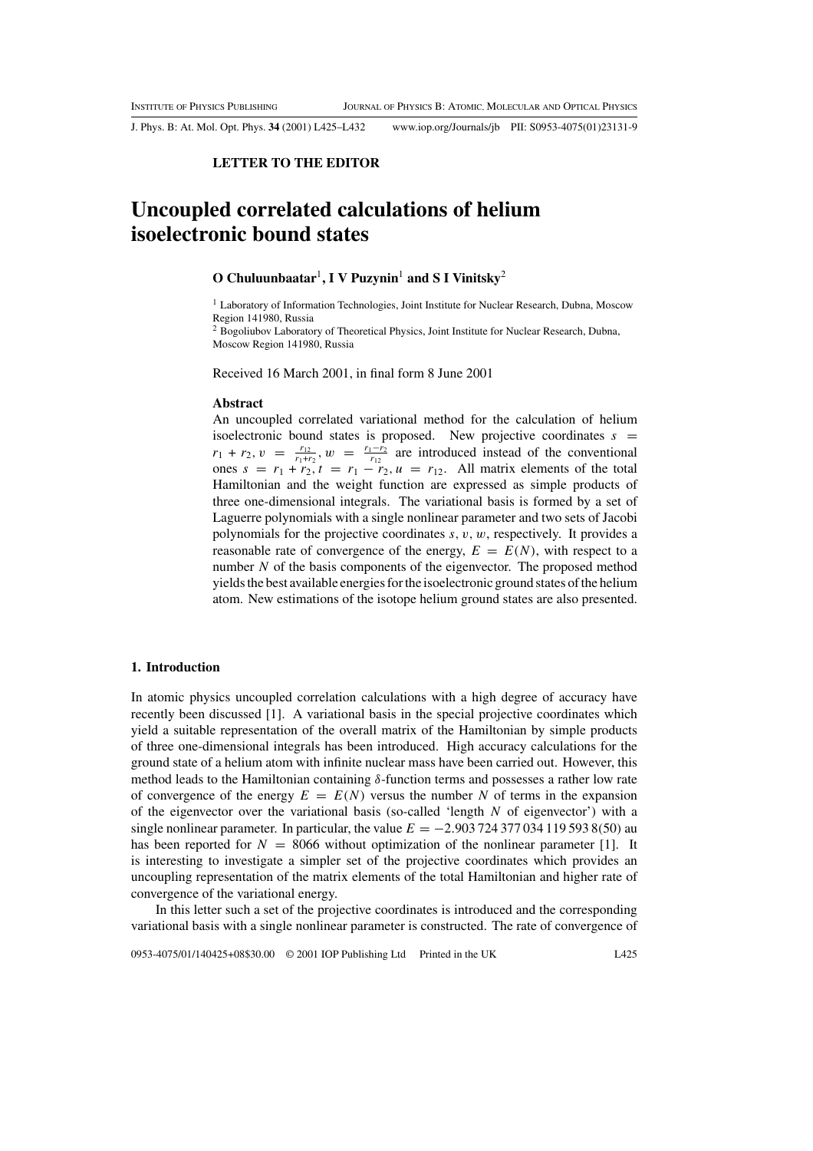J. Phys. B: At. Mol. Opt. Phys. **34** (2001) L425–L432 www.iop.org/Journals/jb PII: S0953-4075(01)23131-9

## **LETTER TO THE EDITOR**

# **Uncoupled correlated calculations of helium isoelectronic bound states**

## **O Chuluunbaatar**1**, I V Puzynin**<sup>1</sup> **and S I Vinitsky**<sup>2</sup>

<sup>1</sup> Laboratory of Information Technologies, Joint Institute for Nuclear Research, Dubna, Moscow Region 141980, Russia

<sup>2</sup> Bogoliubov Laboratory of Theoretical Physics, Joint Institute for Nuclear Research, Dubna, Moscow Region 141980, Russia

Received 16 March 2001, in final form 8 June 2001

#### **Abstract**

An uncoupled correlated variational method for the calculation of helium isoelectronic bound states is proposed. New projective coordinates  $s =$  $r_1 + r_2$ ,  $v = \frac{r_{12}}{r_1 + r_2}$ ,  $w = \frac{r_1 - r_2}{r_{12}}$  are introduced instead of the conventional ones  $s = r_1 + r_2$ ,  $t = r_1 - r_2$ ,  $u = r_{12}$ . All matrix elements of the total Hamiltonian and the weight function are expressed as simple products of three one-dimensional integrals. The variational basis is formed by a set of Laguerre polynomials with a single nonlinear parameter and two sets of Jacobi polynomials for the projective coordinates  $s, v, w$ , respectively. It provides a reasonable rate of convergence of the energy,  $E = E(N)$ , with respect to a number  $N$  of the basis components of the eigenvector. The proposed method yields the best available energies for the isoelectronic ground states of the helium atom. New estimations of the isotope helium ground states are also presented.

#### **1. Introduction**

In atomic physics uncoupled correlation calculations with a high degree of accuracy have recently been discussed [1]. A variational basis in the special projective coordinates which yield a suitable representation of the overall matrix of the Hamiltonian by simple products of three one-dimensional integrals has been introduced. High accuracy calculations for the ground state of a helium atom with infinite nuclear mass have been carried out. However, this method leads to the Hamiltonian containing δ-function terms and possesses a rather low rate of convergence of the energy  $E = E(N)$  versus the number N of terms in the expansion of the eigenvector over the variational basis (so-called 'length  $N$  of eigenvector') with a single nonlinear parameter. In particular, the value  $E = -2.9037243770341195938(50)$  au has been reported for  $N = 8066$  without optimization of the nonlinear parameter [1]. It is interesting to investigate a simpler set of the projective coordinates which provides an uncoupling representation of the matrix elements of the total Hamiltonian and higher rate of convergence of the variational energy.

In this letter such a set of the projective coordinates is introduced and the corresponding variational basis with a single nonlinear parameter is constructed. The rate of convergence of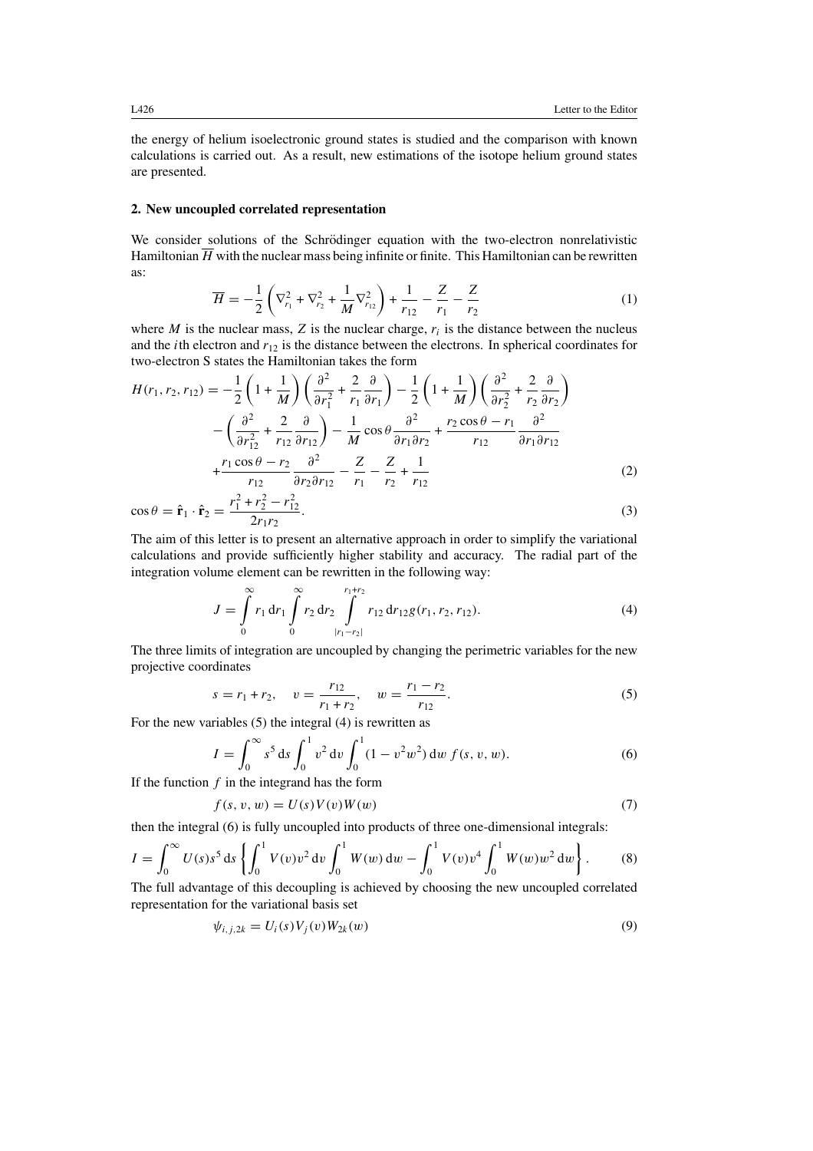the energy of helium isoelectronic ground states is studied and the comparison with known calculations is carried out. As a result, new estimations of the isotope helium ground states are presented.

## **2. New uncoupled correlated representation**

We consider solutions of the Schrödinger equation with the two-electron nonrelativistic Hamiltonian  $\overline{H}$  with the nuclear mass being infinite or finite. This Hamiltonian can be rewritten as:

$$
\overline{H} = -\frac{1}{2} \left( \nabla_{r_1}^2 + \nabla_{r_2}^2 + \frac{1}{M} \nabla_{r_{12}}^2 \right) + \frac{1}{r_{12}} - \frac{Z}{r_1} - \frac{Z}{r_2}
$$
(1)

where  $M$  is the nuclear mass,  $Z$  is the nuclear charge,  $r_i$  is the distance between the nucleus and the *i*th electron and  $r_{12}$  is the distance between the electrons. In spherical coordinates for two-electron S states the Hamiltonian takes the form

$$
H(r_1, r_2, r_{12}) = -\frac{1}{2} \left( 1 + \frac{1}{M} \right) \left( \frac{\partial^2}{\partial r_1^2} + \frac{2}{r_1} \frac{\partial}{\partial r_1} \right) - \frac{1}{2} \left( 1 + \frac{1}{M} \right) \left( \frac{\partial^2}{\partial r_2^2} + \frac{2}{r_2} \frac{\partial}{\partial r_2} \right) - \left( \frac{\partial^2}{\partial r_{12}^2} + \frac{2}{r_{12}} \frac{\partial}{\partial r_{12}} \right) - \frac{1}{M} \cos \theta \frac{\partial^2}{\partial r_1 \partial r_2} + \frac{r_2 \cos \theta - r_1}{r_{12}} \frac{\partial^2}{\partial r_1 \partial r_{12}} + \frac{r_1 \cos \theta - r_2}{r_{12}} \frac{\partial^2}{\partial r_2 \partial r_{12}} - \frac{Z}{r_1} - \frac{Z}{r_2} + \frac{1}{r_{12}}
$$
(2)

$$
\cos \theta = \hat{\mathbf{r}}_1 \cdot \hat{\mathbf{r}}_2 = \frac{r_1^2 + r_2^2 - r_{12}^2}{2r_1r_2}.
$$
\n(3)

The aim of this letter is to present an alternative approach in order to simplify the variational calculations and provide sufficiently higher stability and accuracy. The radial part of the integration volume element can be rewritten in the following way:

$$
J = \int_{0}^{\infty} r_1 dr_1 \int_{0}^{\infty} r_2 dr_2 \int_{|r_1 - r_2|}^{r_1 + r_2} r_{12} dr_{12} g(r_1, r_2, r_{12}). \tag{4}
$$

The three limits of integration are uncoupled by changing the perimetric variables for the new projective coordinates

$$
s = r_1 + r_2, \quad v = \frac{r_{12}}{r_1 + r_2}, \quad w = \frac{r_1 - r_2}{r_{12}}.
$$
 (5)

For the new variables (5) the integral (4) is rewritten as

$$
I = \int_0^\infty s^5 \, ds \int_0^1 v^2 \, dv \int_0^1 (1 - v^2 w^2) \, dw \, f(s, v, w). \tag{6}
$$

If the function  $f$  in the integrand has the form

$$
f(s, v, w) = U(s)V(v)W(w)
$$
\n(7)

then the integral (6) is fully uncoupled into products of three one-dimensional integrals:

$$
I = \int_0^\infty U(s) s^5 \, ds \left\{ \int_0^1 V(v) v^2 \, dv \int_0^1 W(w) \, dw - \int_0^1 V(v) v^4 \int_0^1 W(w) w^2 \, dw \right\}.
$$
 (8)

The full advantage of this decoupling is achieved by choosing the new uncoupled correlated representation for the variational basis set

$$
\psi_{i,j,2k} = U_i(s)V_j(v)W_{2k}(w)
$$
\n(9)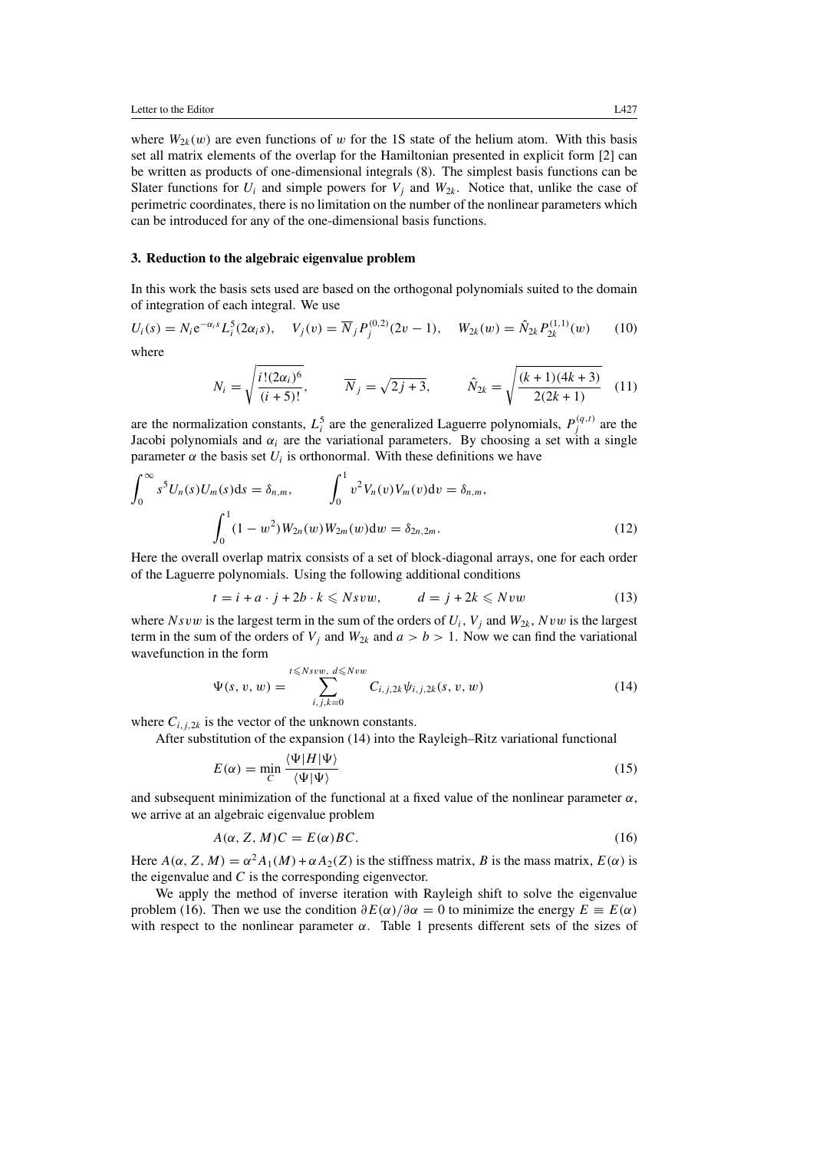where  $W_{2k}(w)$  are even functions of w for the 1S state of the helium atom. With this basis set all matrix elements of the overlap for the Hamiltonian presented in explicit form [2] can be written as products of one-dimensional integrals (8). The simplest basis functions can be Slater functions for  $U_i$  and simple powers for  $V_i$  and  $W_{2k}$ . Notice that, unlike the case of perimetric coordinates, there is no limitation on the number of the nonlinear parameters which can be introduced for any of the one-dimensional basis functions.

## **3. Reduction to the algebraic eigenvalue problem**

In this work the basis sets used are based on the orthogonal polynomials suited to the domain of integration of each integral. We use

$$
U_i(s) = N_i e^{-\alpha_i s} L_i^5(2\alpha_i s), \quad V_j(v) = \overline{N}_j P_j^{(0,2)}(2v - 1), \quad W_{2k}(w) = \hat{N}_{2k} P_{2k}^{(1,1)}(w) \tag{10}
$$

where

$$
N_i = \sqrt{\frac{i!(2\alpha_i)^6}{(i+5)!}}, \qquad \overline{N}_j = \sqrt{2j+3}, \qquad \hat{N}_{2k} = \sqrt{\frac{(k+1)(4k+3)}{2(2k+1)}} \quad (11)
$$

are the normalization constants,  $L_i^5$  are the generalized Laguerre polynomials,  $P_j^{(q,t)}$  are the Jacobi polynomials and  $\alpha_i$  are the variational parameters. By choosing a set with a single parameter  $\alpha$  the basis set  $U_i$  is orthonormal. With these definitions we have

$$
\int_0^\infty s^5 U_n(s) U_m(s) ds = \delta_{n,m}, \qquad \int_0^1 v^2 V_n(v) V_m(v) dv = \delta_{n,m},
$$

$$
\int_0^1 (1 - w^2) W_{2n}(w) W_{2m}(w) dw = \delta_{2n,2m}.
$$
(12)

Here the overall overlap matrix consists of a set of block-diagonal arrays, one for each order of the Laguerre polynomials. Using the following additional conditions

$$
t = i + a \cdot j + 2b \cdot k \leq Nsvw, \qquad d = j + 2k \leq Nvw \tag{13}
$$

where Nsvw is the largest term in the sum of the orders of  $U_i$ ,  $V_i$  and  $W_{2k}$ , Nvw is the largest term in the sum of the orders of  $V_j$  and  $W_{2k}$  and  $a > b > 1$ . Now we can find the variational wavefunction in the form

$$
\Psi(s, v, w) = \sum_{i, j, k=0}^{t \leq Nsw, d \leq Nvw} C_{i, j, 2k} \psi_{i, j, 2k}(s, v, w)
$$
\n(14)

where  $C_{i,j,2k}$  is the vector of the unknown constants.

After substitution of the expansion (14) into the Rayleigh–Ritz variational functional

$$
E(\alpha) = \min_{C} \frac{\langle \Psi | H | \Psi \rangle}{\langle \Psi | \Psi \rangle} \tag{15}
$$

and subsequent minimization of the functional at a fixed value of the nonlinear parameter  $\alpha$ , we arrive at an algebraic eigenvalue problem

$$
A(\alpha, Z, M)C = E(\alpha)BC.
$$
 (16)

Here  $A(\alpha, Z, M) = \alpha^2 A_1(M) + \alpha A_2(Z)$  is the stiffness matrix, B is the mass matrix,  $E(\alpha)$  is the eigenvalue and  $C$  is the corresponding eigenvector.

We apply the method of inverse iteration with Rayleigh shift to solve the eigenvalue problem (16). Then we use the condition  $\frac{\partial E(\alpha)}{\partial \alpha} = 0$  to minimize the energy  $E \equiv E(\alpha)$ with respect to the nonlinear parameter  $\alpha$ . Table 1 presents different sets of the sizes of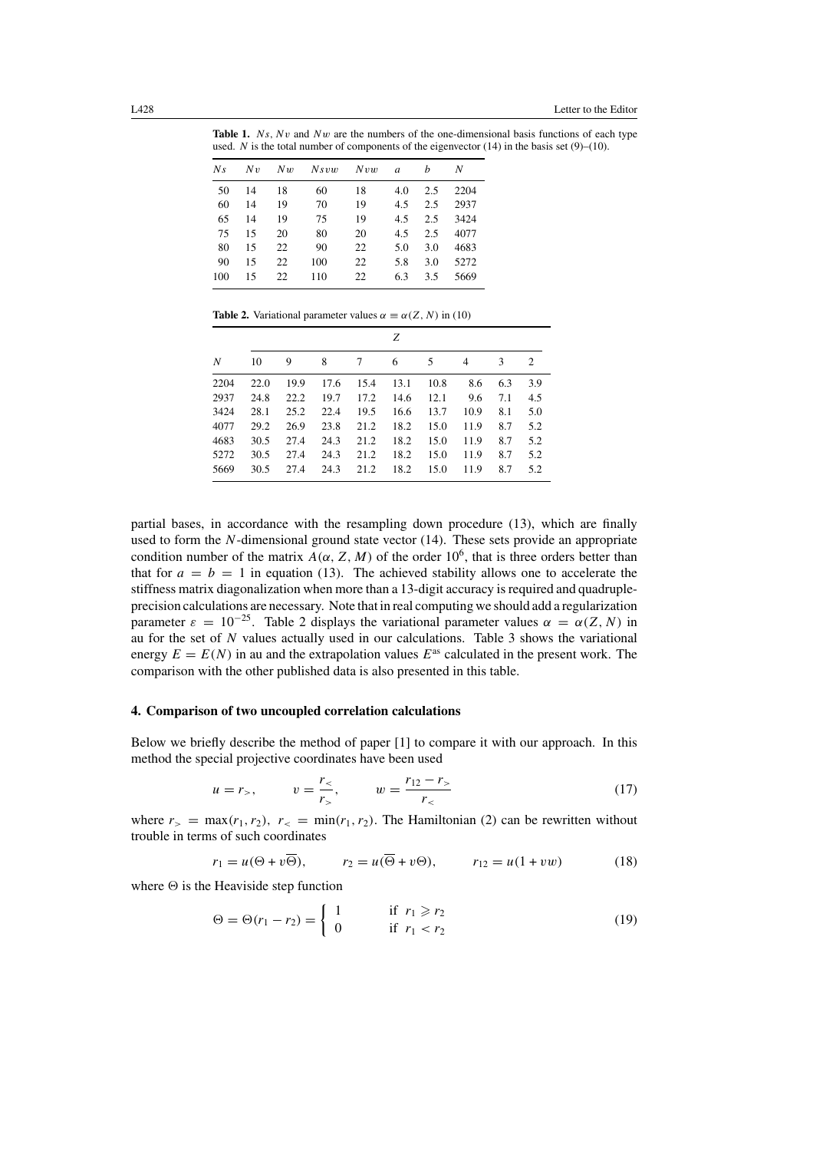**Table 1.** Ns, Nv and Nw are the numbers of the one-dimensional basis functions of each type used. N is the total number of components of the eigenvector  $(14)$  in the basis set  $(9)$ – $(10)$ .

| Ns  | Nv | Nw | Nsww | Nvw | $\boldsymbol{a}$ | h   | N    |
|-----|----|----|------|-----|------------------|-----|------|
| 50  | 14 | 18 | 60   | 18  | 4.0              | 2.5 | 2204 |
| 60  | 14 | 19 | 70   | 19  | 4.5              | 2.5 | 2937 |
| 65  | 14 | 19 | 75   | 19  | 4.5              | 2.5 | 3424 |
| 75  | 15 | 20 | 80   | 20  | 4.5              | 2.5 | 4077 |
| 80  | 15 | 22 | 90   | 22  | 5.0              | 3.0 | 4683 |
| 90  | 15 | 22 | 100  | 22  | 5.8              | 3.0 | 5272 |
| 100 | 15 | 22 | 110  | 22  | 6.3              | 3.5 | 5669 |

**Table 2.** Variational parameter values  $\alpha \equiv \alpha(Z, N)$  in (10)

|      |      |      |      |      | Z    |      |      |     |     |
|------|------|------|------|------|------|------|------|-----|-----|
| N    | 10   | 9    | 8    | 7    | 6    | 5    | 4    | 3   | 2   |
| 2204 | 22.0 | 19.9 | 17.6 | 15.4 | 13.1 | 10.8 | 8.6  | 6.3 | 3.9 |
| 2937 | 24.8 | 22.2 | 19.7 | 17.2 | 14.6 | 12.1 | 9.6  | 7.1 | 4.5 |
| 3424 | 28.1 | 25.2 | 22.4 | 19.5 | 16.6 | 13.7 | 10.9 | 8.1 | 5.0 |
| 4077 | 29.2 | 26.9 | 23.8 | 21.2 | 18.2 | 15.0 | 11.9 | 8.7 | 5.2 |
| 4683 | 30.5 | 27.4 | 24.3 | 21.2 | 18.2 | 15.0 | 11.9 | 8.7 | 5.2 |
| 5272 | 30.5 | 27.4 | 24.3 | 21.2 | 18.2 | 15.0 | 11.9 | 8.7 | 5.2 |
| 5669 | 30.5 | 27.4 | 24.3 | 21.2 | 18.2 | 15.0 | 11.9 | 8.7 | 5.2 |

partial bases, in accordance with the resampling down procedure (13), which are finally used to form the N-dimensional ground state vector (14). These sets provide an appropriate condition number of the matrix  $A(\alpha, Z, M)$  of the order 10<sup>6</sup>, that is three orders better than that for  $a = b = 1$  in equation (13). The achieved stability allows one to accelerate the stiffness matrix diagonalization when more than a 13-digit accuracy is required and quadrupleprecision calculations are necessary. Note that in real computing we should add a regularization parameter  $\varepsilon = 10^{-25}$ . Table 2 displays the variational parameter values  $\alpha = \alpha(Z, N)$  in au for the set of  $N$  values actually used in our calculations. Table  $3$  shows the variational energy  $E = E(N)$  in au and the extrapolation values  $E^{as}$  calculated in the present work. The comparison with the other published data is also presented in this table.

## **4. Comparison of two uncoupled correlation calculations**

Below we briefly describe the method of paper [1] to compare it with our approach. In this method the special projective coordinates have been used

$$
u = r_>
$$
,  $v = \frac{r_<}{r_>}$ ,  $w = \frac{r_{12} - r_>}{r_<}$  (17)

where  $r_{\geq} = \max(r_1, r_2)$ ,  $r_{\leq} = \min(r_1, r_2)$ . The Hamiltonian (2) can be rewritten without trouble in terms of such coordinates

$$
r_1 = u(\Theta + v\overline{\Theta}), \qquad r_2 = u(\overline{\Theta} + v\Theta), \qquad r_{12} = u(1 + vw) \tag{18}
$$

where  $\Theta$  is the Heaviside step function

$$
\Theta = \Theta(r_1 - r_2) = \begin{cases} 1 & \text{if } r_1 \ge r_2 \\ 0 & \text{if } r_1 < r_2 \end{cases} \tag{19}
$$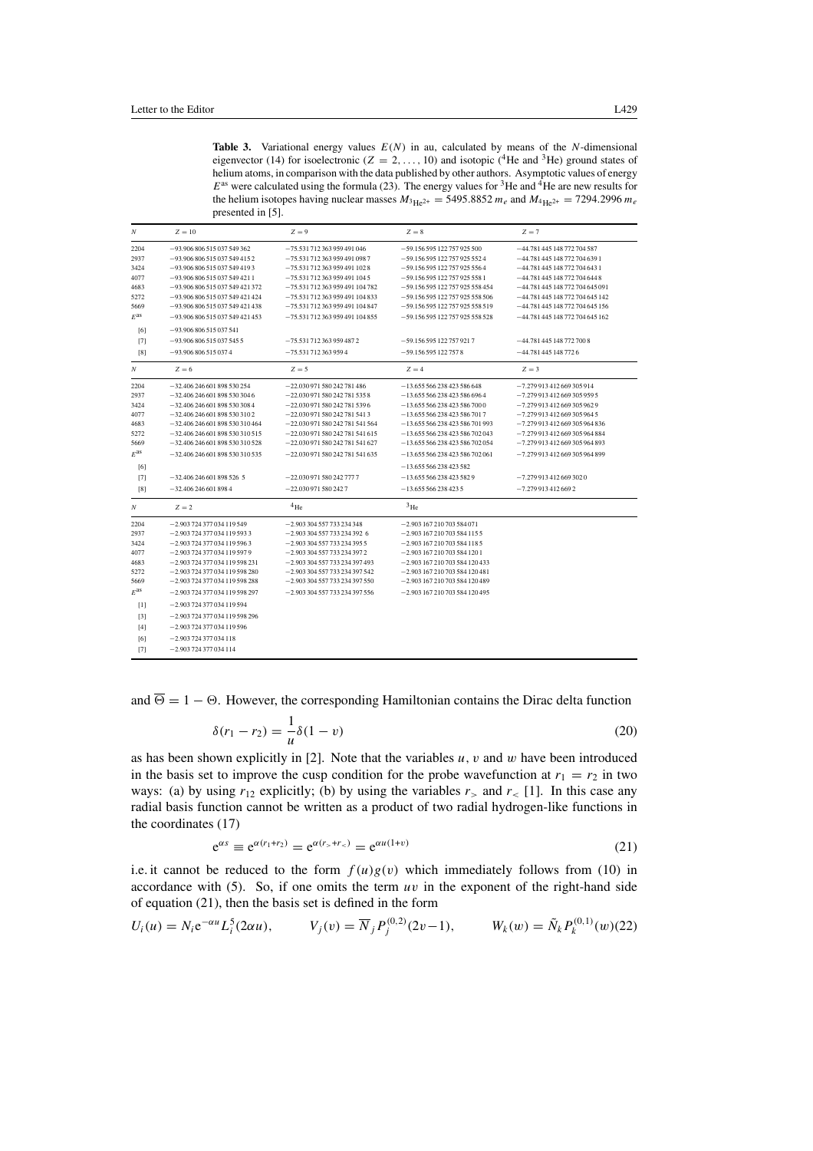**Table 3.** Variational energy values  $E(N)$  in au, calculated by means of the N-dimensional eigenvector (14) for isoelectronic ( $Z = 2, \ldots, 10$ ) and isotopic (<sup>4</sup>He and <sup>3</sup>He) ground states of helium atoms, in comparison with the data published by other authors. Asymptotic values of energy  $E^{as}$  were calculated using the formula (23). The energy values for <sup>3</sup>He and <sup>4</sup>He are new results for the helium isotopes having nuclear masses  $M_{^3\text{He}^{2+}} = 5495.8852$   $m_e$  and  $M_{^4\text{He}^{2+}} = 7294.2996$   $m_e$ presented in [5].

| $-93.906806515037549362$<br>$-75.531712363959491046$<br>$-59.156595122757925500$<br>$-44.781445148772704587$<br>2204<br>2937<br>$-93.9068065150375494152$<br>$-75.5317123639594910987$<br>$-59.1565951227579255524$<br>$-44.7814451487727046391$<br>3424<br>$-93.9068065150375494193$<br>$-75.5317123639594911028$<br>$-59.1565951227579255564$<br>$-44.7814451487727046431$<br>4077<br>$-75.5317123639594911045$<br>$-59.1565951227579255581$<br>$-93.9068065150375494211$<br>$-44.7814451487727046448$<br>4683<br>$-93.906806515037549421372$<br>$-75.531712363959491104782$<br>$-59.156595122757925558454$<br>$-44.781445148772704645091$<br>5272<br>$-93.906806515037549421424$<br>$-75.531712363959491104833$<br>$-59.156595122757925558506$<br>-44.781 445 148 772 704 645 142<br>5669<br>$-93.906806515037549421438$<br>$-75.531712363959491104847$<br>$-59.156595122757925558519$<br>$-44.781445148772704645156$<br>$E^{\rm 3S}$<br>$-93.906806515037549421453$<br>$-75.531712363959491104855$<br>$-59.156595122757925558528$<br>$-44.781445148772704645162$<br>[6]<br>$-93.906806515037541$<br>[7]<br>$-93.9068065150375455$<br>$-75.5317123639594872$<br>$-59.1565951227579217$<br>$-44.7814451487727008$<br>$-59.1565951227578$<br>[8]<br>$-93.9068065150374$<br>$-75.5317123639594$<br>$-44.7814451487726$<br>$Z = 6$<br>$Z = 5$<br>$Z = 4$<br>$Z = 3$<br>Ν<br>2204<br>$-32.406246601898530254$<br>$-22.030971580242781486$<br>$-13.655566238423586648$<br>$-7.279913412669305914$<br>2937<br>$-32.4062466018985303046$<br>$-22.0309715802427815358$<br>$-13.6555662384235866964$<br>$-7.2799134126693059595$<br>3424<br>$-32.4062466018985303084$<br>$-22.0309715802427815396$<br>$-13.6555662384235867000$<br>$-7.2799134126693059629$<br>4077<br>$-32.4062466018985303102$<br>$-22.0309715802427815413$<br>$-13.6555662384235867017$<br>$-7.2799134126693059645$<br>4683<br>$-32.406246601898530310464$<br>$-22.030971580242781541564$<br>$-13.655566238423586701993$<br>$-7.279913412669305964836$<br>5272<br>$-22.030971580242781541615$<br>$-13.655566238423586702043$<br>$-7.279913412669305964884$<br>$-32.406246601898530310515$<br>5669<br>$-32.406246601898530310528$<br>$-22.030971580242781541627$<br>$-13.655566238423586702054$<br>$-7.279913412669305964893$<br>$E^{as}$<br>$-32.406246601898530310535$<br>$-22.030971580242781541635$<br>$-13.655566238423586702061$<br>$-7.279913412669305964899$<br>$-13.655566238423582$<br>[6]<br>$[7]$<br>$-32.4062466018985265$<br>$-22.0309715802427777$<br>$-13.6555662384235829$<br>$-7.2799134126693020$<br>[8]<br>$-32.4062466018984$<br>$-22.0309715802427$<br>$-13.6555662384235$<br>$-7.2799134126692$<br>3 <sub>He</sub><br>$^4{\rm He}$<br>$Z = 2$<br>N<br>2204<br>$-2.903724377034119549$<br>$-2.903304557733234348$<br>$-2.903167210703584071$<br>2937<br>$-2.9037243770341195933$<br>$-2.9033045577332343926$<br>$-2.9031672107035841155$<br>3424<br>$-2.9037243770341195963$<br>$-2.9033045577332343955$<br>$-2.9031672107035841185$<br>4077<br>$-2.9037243770341195979$<br>$-2.9031672107035841201$<br>$-2.9033045577332343972$<br>4683<br>$-2.903724377034119598231$<br>$-2.903304557733234397493$<br>$-2.903167210703584120433$<br>5272<br>$-2.903724377034119598280$<br>$-2.903167210703584120481$<br>$-2.903304557733234397542$<br>5669<br>$-2.903724377034119598288$<br>$-2.903304557733234397550$<br>$-2.903167210703584120489$<br>$F$ <sup>as</sup><br>$-2.903724377034119598297$<br>$-2.903304557733234397556$<br>$-2.903167210703584120495$<br>$-2.903724377034119594$<br>$\lceil 1 \rceil$<br>$[3]$<br>$-2.903724377034119598296$<br>$[4]$<br>$-2.903724377034119596$<br>[6]<br>$-2.903724377034118$ | N   | $Z=10$               | $Z = 9$ | $Z = 8$ | $Z = 7$ |
|--------------------------------------------------------------------------------------------------------------------------------------------------------------------------------------------------------------------------------------------------------------------------------------------------------------------------------------------------------------------------------------------------------------------------------------------------------------------------------------------------------------------------------------------------------------------------------------------------------------------------------------------------------------------------------------------------------------------------------------------------------------------------------------------------------------------------------------------------------------------------------------------------------------------------------------------------------------------------------------------------------------------------------------------------------------------------------------------------------------------------------------------------------------------------------------------------------------------------------------------------------------------------------------------------------------------------------------------------------------------------------------------------------------------------------------------------------------------------------------------------------------------------------------------------------------------------------------------------------------------------------------------------------------------------------------------------------------------------------------------------------------------------------------------------------------------------------------------------------------------------------------------------------------------------------------------------------------------------------------------------------------------------------------------------------------------------------------------------------------------------------------------------------------------------------------------------------------------------------------------------------------------------------------------------------------------------------------------------------------------------------------------------------------------------------------------------------------------------------------------------------------------------------------------------------------------------------------------------------------------------------------------------------------------------------------------------------------------------------------------------------------------------------------------------------------------------------------------------------------------------------------------------------------------------------------------------------------------------------------------------------------------------------------------------------------------------------------------------------------------------------------------------------------------------------------------------------------------------------------------------------------------------------------------------------------------------------------------------------------------------------------------------------------------------------------------------------------------------------------------------------------------------------------------------------------------------------------------------------------------------------------------------------------------------------------------------|-----|----------------------|---------|---------|---------|
|                                                                                                                                                                                                                                                                                                                                                                                                                                                                                                                                                                                                                                                                                                                                                                                                                                                                                                                                                                                                                                                                                                                                                                                                                                                                                                                                                                                                                                                                                                                                                                                                                                                                                                                                                                                                                                                                                                                                                                                                                                                                                                                                                                                                                                                                                                                                                                                                                                                                                                                                                                                                                                                                                                                                                                                                                                                                                                                                                                                                                                                                                                                                                                                                                                                                                                                                                                                                                                                                                                                                                                                                                                                                                                  |     |                      |         |         |         |
|                                                                                                                                                                                                                                                                                                                                                                                                                                                                                                                                                                                                                                                                                                                                                                                                                                                                                                                                                                                                                                                                                                                                                                                                                                                                                                                                                                                                                                                                                                                                                                                                                                                                                                                                                                                                                                                                                                                                                                                                                                                                                                                                                                                                                                                                                                                                                                                                                                                                                                                                                                                                                                                                                                                                                                                                                                                                                                                                                                                                                                                                                                                                                                                                                                                                                                                                                                                                                                                                                                                                                                                                                                                                                                  |     |                      |         |         |         |
|                                                                                                                                                                                                                                                                                                                                                                                                                                                                                                                                                                                                                                                                                                                                                                                                                                                                                                                                                                                                                                                                                                                                                                                                                                                                                                                                                                                                                                                                                                                                                                                                                                                                                                                                                                                                                                                                                                                                                                                                                                                                                                                                                                                                                                                                                                                                                                                                                                                                                                                                                                                                                                                                                                                                                                                                                                                                                                                                                                                                                                                                                                                                                                                                                                                                                                                                                                                                                                                                                                                                                                                                                                                                                                  |     |                      |         |         |         |
|                                                                                                                                                                                                                                                                                                                                                                                                                                                                                                                                                                                                                                                                                                                                                                                                                                                                                                                                                                                                                                                                                                                                                                                                                                                                                                                                                                                                                                                                                                                                                                                                                                                                                                                                                                                                                                                                                                                                                                                                                                                                                                                                                                                                                                                                                                                                                                                                                                                                                                                                                                                                                                                                                                                                                                                                                                                                                                                                                                                                                                                                                                                                                                                                                                                                                                                                                                                                                                                                                                                                                                                                                                                                                                  |     |                      |         |         |         |
|                                                                                                                                                                                                                                                                                                                                                                                                                                                                                                                                                                                                                                                                                                                                                                                                                                                                                                                                                                                                                                                                                                                                                                                                                                                                                                                                                                                                                                                                                                                                                                                                                                                                                                                                                                                                                                                                                                                                                                                                                                                                                                                                                                                                                                                                                                                                                                                                                                                                                                                                                                                                                                                                                                                                                                                                                                                                                                                                                                                                                                                                                                                                                                                                                                                                                                                                                                                                                                                                                                                                                                                                                                                                                                  |     |                      |         |         |         |
|                                                                                                                                                                                                                                                                                                                                                                                                                                                                                                                                                                                                                                                                                                                                                                                                                                                                                                                                                                                                                                                                                                                                                                                                                                                                                                                                                                                                                                                                                                                                                                                                                                                                                                                                                                                                                                                                                                                                                                                                                                                                                                                                                                                                                                                                                                                                                                                                                                                                                                                                                                                                                                                                                                                                                                                                                                                                                                                                                                                                                                                                                                                                                                                                                                                                                                                                                                                                                                                                                                                                                                                                                                                                                                  |     |                      |         |         |         |
|                                                                                                                                                                                                                                                                                                                                                                                                                                                                                                                                                                                                                                                                                                                                                                                                                                                                                                                                                                                                                                                                                                                                                                                                                                                                                                                                                                                                                                                                                                                                                                                                                                                                                                                                                                                                                                                                                                                                                                                                                                                                                                                                                                                                                                                                                                                                                                                                                                                                                                                                                                                                                                                                                                                                                                                                                                                                                                                                                                                                                                                                                                                                                                                                                                                                                                                                                                                                                                                                                                                                                                                                                                                                                                  |     |                      |         |         |         |
|                                                                                                                                                                                                                                                                                                                                                                                                                                                                                                                                                                                                                                                                                                                                                                                                                                                                                                                                                                                                                                                                                                                                                                                                                                                                                                                                                                                                                                                                                                                                                                                                                                                                                                                                                                                                                                                                                                                                                                                                                                                                                                                                                                                                                                                                                                                                                                                                                                                                                                                                                                                                                                                                                                                                                                                                                                                                                                                                                                                                                                                                                                                                                                                                                                                                                                                                                                                                                                                                                                                                                                                                                                                                                                  |     |                      |         |         |         |
|                                                                                                                                                                                                                                                                                                                                                                                                                                                                                                                                                                                                                                                                                                                                                                                                                                                                                                                                                                                                                                                                                                                                                                                                                                                                                                                                                                                                                                                                                                                                                                                                                                                                                                                                                                                                                                                                                                                                                                                                                                                                                                                                                                                                                                                                                                                                                                                                                                                                                                                                                                                                                                                                                                                                                                                                                                                                                                                                                                                                                                                                                                                                                                                                                                                                                                                                                                                                                                                                                                                                                                                                                                                                                                  |     |                      |         |         |         |
|                                                                                                                                                                                                                                                                                                                                                                                                                                                                                                                                                                                                                                                                                                                                                                                                                                                                                                                                                                                                                                                                                                                                                                                                                                                                                                                                                                                                                                                                                                                                                                                                                                                                                                                                                                                                                                                                                                                                                                                                                                                                                                                                                                                                                                                                                                                                                                                                                                                                                                                                                                                                                                                                                                                                                                                                                                                                                                                                                                                                                                                                                                                                                                                                                                                                                                                                                                                                                                                                                                                                                                                                                                                                                                  |     |                      |         |         |         |
|                                                                                                                                                                                                                                                                                                                                                                                                                                                                                                                                                                                                                                                                                                                                                                                                                                                                                                                                                                                                                                                                                                                                                                                                                                                                                                                                                                                                                                                                                                                                                                                                                                                                                                                                                                                                                                                                                                                                                                                                                                                                                                                                                                                                                                                                                                                                                                                                                                                                                                                                                                                                                                                                                                                                                                                                                                                                                                                                                                                                                                                                                                                                                                                                                                                                                                                                                                                                                                                                                                                                                                                                                                                                                                  |     |                      |         |         |         |
|                                                                                                                                                                                                                                                                                                                                                                                                                                                                                                                                                                                                                                                                                                                                                                                                                                                                                                                                                                                                                                                                                                                                                                                                                                                                                                                                                                                                                                                                                                                                                                                                                                                                                                                                                                                                                                                                                                                                                                                                                                                                                                                                                                                                                                                                                                                                                                                                                                                                                                                                                                                                                                                                                                                                                                                                                                                                                                                                                                                                                                                                                                                                                                                                                                                                                                                                                                                                                                                                                                                                                                                                                                                                                                  |     |                      |         |         |         |
|                                                                                                                                                                                                                                                                                                                                                                                                                                                                                                                                                                                                                                                                                                                                                                                                                                                                                                                                                                                                                                                                                                                                                                                                                                                                                                                                                                                                                                                                                                                                                                                                                                                                                                                                                                                                                                                                                                                                                                                                                                                                                                                                                                                                                                                                                                                                                                                                                                                                                                                                                                                                                                                                                                                                                                                                                                                                                                                                                                                                                                                                                                                                                                                                                                                                                                                                                                                                                                                                                                                                                                                                                                                                                                  |     |                      |         |         |         |
|                                                                                                                                                                                                                                                                                                                                                                                                                                                                                                                                                                                                                                                                                                                                                                                                                                                                                                                                                                                                                                                                                                                                                                                                                                                                                                                                                                                                                                                                                                                                                                                                                                                                                                                                                                                                                                                                                                                                                                                                                                                                                                                                                                                                                                                                                                                                                                                                                                                                                                                                                                                                                                                                                                                                                                                                                                                                                                                                                                                                                                                                                                                                                                                                                                                                                                                                                                                                                                                                                                                                                                                                                                                                                                  |     |                      |         |         |         |
|                                                                                                                                                                                                                                                                                                                                                                                                                                                                                                                                                                                                                                                                                                                                                                                                                                                                                                                                                                                                                                                                                                                                                                                                                                                                                                                                                                                                                                                                                                                                                                                                                                                                                                                                                                                                                                                                                                                                                                                                                                                                                                                                                                                                                                                                                                                                                                                                                                                                                                                                                                                                                                                                                                                                                                                                                                                                                                                                                                                                                                                                                                                                                                                                                                                                                                                                                                                                                                                                                                                                                                                                                                                                                                  |     |                      |         |         |         |
|                                                                                                                                                                                                                                                                                                                                                                                                                                                                                                                                                                                                                                                                                                                                                                                                                                                                                                                                                                                                                                                                                                                                                                                                                                                                                                                                                                                                                                                                                                                                                                                                                                                                                                                                                                                                                                                                                                                                                                                                                                                                                                                                                                                                                                                                                                                                                                                                                                                                                                                                                                                                                                                                                                                                                                                                                                                                                                                                                                                                                                                                                                                                                                                                                                                                                                                                                                                                                                                                                                                                                                                                                                                                                                  |     |                      |         |         |         |
|                                                                                                                                                                                                                                                                                                                                                                                                                                                                                                                                                                                                                                                                                                                                                                                                                                                                                                                                                                                                                                                                                                                                                                                                                                                                                                                                                                                                                                                                                                                                                                                                                                                                                                                                                                                                                                                                                                                                                                                                                                                                                                                                                                                                                                                                                                                                                                                                                                                                                                                                                                                                                                                                                                                                                                                                                                                                                                                                                                                                                                                                                                                                                                                                                                                                                                                                                                                                                                                                                                                                                                                                                                                                                                  |     |                      |         |         |         |
|                                                                                                                                                                                                                                                                                                                                                                                                                                                                                                                                                                                                                                                                                                                                                                                                                                                                                                                                                                                                                                                                                                                                                                                                                                                                                                                                                                                                                                                                                                                                                                                                                                                                                                                                                                                                                                                                                                                                                                                                                                                                                                                                                                                                                                                                                                                                                                                                                                                                                                                                                                                                                                                                                                                                                                                                                                                                                                                                                                                                                                                                                                                                                                                                                                                                                                                                                                                                                                                                                                                                                                                                                                                                                                  |     |                      |         |         |         |
|                                                                                                                                                                                                                                                                                                                                                                                                                                                                                                                                                                                                                                                                                                                                                                                                                                                                                                                                                                                                                                                                                                                                                                                                                                                                                                                                                                                                                                                                                                                                                                                                                                                                                                                                                                                                                                                                                                                                                                                                                                                                                                                                                                                                                                                                                                                                                                                                                                                                                                                                                                                                                                                                                                                                                                                                                                                                                                                                                                                                                                                                                                                                                                                                                                                                                                                                                                                                                                                                                                                                                                                                                                                                                                  |     |                      |         |         |         |
|                                                                                                                                                                                                                                                                                                                                                                                                                                                                                                                                                                                                                                                                                                                                                                                                                                                                                                                                                                                                                                                                                                                                                                                                                                                                                                                                                                                                                                                                                                                                                                                                                                                                                                                                                                                                                                                                                                                                                                                                                                                                                                                                                                                                                                                                                                                                                                                                                                                                                                                                                                                                                                                                                                                                                                                                                                                                                                                                                                                                                                                                                                                                                                                                                                                                                                                                                                                                                                                                                                                                                                                                                                                                                                  |     |                      |         |         |         |
|                                                                                                                                                                                                                                                                                                                                                                                                                                                                                                                                                                                                                                                                                                                                                                                                                                                                                                                                                                                                                                                                                                                                                                                                                                                                                                                                                                                                                                                                                                                                                                                                                                                                                                                                                                                                                                                                                                                                                                                                                                                                                                                                                                                                                                                                                                                                                                                                                                                                                                                                                                                                                                                                                                                                                                                                                                                                                                                                                                                                                                                                                                                                                                                                                                                                                                                                                                                                                                                                                                                                                                                                                                                                                                  |     |                      |         |         |         |
|                                                                                                                                                                                                                                                                                                                                                                                                                                                                                                                                                                                                                                                                                                                                                                                                                                                                                                                                                                                                                                                                                                                                                                                                                                                                                                                                                                                                                                                                                                                                                                                                                                                                                                                                                                                                                                                                                                                                                                                                                                                                                                                                                                                                                                                                                                                                                                                                                                                                                                                                                                                                                                                                                                                                                                                                                                                                                                                                                                                                                                                                                                                                                                                                                                                                                                                                                                                                                                                                                                                                                                                                                                                                                                  |     |                      |         |         |         |
|                                                                                                                                                                                                                                                                                                                                                                                                                                                                                                                                                                                                                                                                                                                                                                                                                                                                                                                                                                                                                                                                                                                                                                                                                                                                                                                                                                                                                                                                                                                                                                                                                                                                                                                                                                                                                                                                                                                                                                                                                                                                                                                                                                                                                                                                                                                                                                                                                                                                                                                                                                                                                                                                                                                                                                                                                                                                                                                                                                                                                                                                                                                                                                                                                                                                                                                                                                                                                                                                                                                                                                                                                                                                                                  |     |                      |         |         |         |
|                                                                                                                                                                                                                                                                                                                                                                                                                                                                                                                                                                                                                                                                                                                                                                                                                                                                                                                                                                                                                                                                                                                                                                                                                                                                                                                                                                                                                                                                                                                                                                                                                                                                                                                                                                                                                                                                                                                                                                                                                                                                                                                                                                                                                                                                                                                                                                                                                                                                                                                                                                                                                                                                                                                                                                                                                                                                                                                                                                                                                                                                                                                                                                                                                                                                                                                                                                                                                                                                                                                                                                                                                                                                                                  |     |                      |         |         |         |
|                                                                                                                                                                                                                                                                                                                                                                                                                                                                                                                                                                                                                                                                                                                                                                                                                                                                                                                                                                                                                                                                                                                                                                                                                                                                                                                                                                                                                                                                                                                                                                                                                                                                                                                                                                                                                                                                                                                                                                                                                                                                                                                                                                                                                                                                                                                                                                                                                                                                                                                                                                                                                                                                                                                                                                                                                                                                                                                                                                                                                                                                                                                                                                                                                                                                                                                                                                                                                                                                                                                                                                                                                                                                                                  |     |                      |         |         |         |
|                                                                                                                                                                                                                                                                                                                                                                                                                                                                                                                                                                                                                                                                                                                                                                                                                                                                                                                                                                                                                                                                                                                                                                                                                                                                                                                                                                                                                                                                                                                                                                                                                                                                                                                                                                                                                                                                                                                                                                                                                                                                                                                                                                                                                                                                                                                                                                                                                                                                                                                                                                                                                                                                                                                                                                                                                                                                                                                                                                                                                                                                                                                                                                                                                                                                                                                                                                                                                                                                                                                                                                                                                                                                                                  |     |                      |         |         |         |
|                                                                                                                                                                                                                                                                                                                                                                                                                                                                                                                                                                                                                                                                                                                                                                                                                                                                                                                                                                                                                                                                                                                                                                                                                                                                                                                                                                                                                                                                                                                                                                                                                                                                                                                                                                                                                                                                                                                                                                                                                                                                                                                                                                                                                                                                                                                                                                                                                                                                                                                                                                                                                                                                                                                                                                                                                                                                                                                                                                                                                                                                                                                                                                                                                                                                                                                                                                                                                                                                                                                                                                                                                                                                                                  |     |                      |         |         |         |
|                                                                                                                                                                                                                                                                                                                                                                                                                                                                                                                                                                                                                                                                                                                                                                                                                                                                                                                                                                                                                                                                                                                                                                                                                                                                                                                                                                                                                                                                                                                                                                                                                                                                                                                                                                                                                                                                                                                                                                                                                                                                                                                                                                                                                                                                                                                                                                                                                                                                                                                                                                                                                                                                                                                                                                                                                                                                                                                                                                                                                                                                                                                                                                                                                                                                                                                                                                                                                                                                                                                                                                                                                                                                                                  |     |                      |         |         |         |
|                                                                                                                                                                                                                                                                                                                                                                                                                                                                                                                                                                                                                                                                                                                                                                                                                                                                                                                                                                                                                                                                                                                                                                                                                                                                                                                                                                                                                                                                                                                                                                                                                                                                                                                                                                                                                                                                                                                                                                                                                                                                                                                                                                                                                                                                                                                                                                                                                                                                                                                                                                                                                                                                                                                                                                                                                                                                                                                                                                                                                                                                                                                                                                                                                                                                                                                                                                                                                                                                                                                                                                                                                                                                                                  |     |                      |         |         |         |
|                                                                                                                                                                                                                                                                                                                                                                                                                                                                                                                                                                                                                                                                                                                                                                                                                                                                                                                                                                                                                                                                                                                                                                                                                                                                                                                                                                                                                                                                                                                                                                                                                                                                                                                                                                                                                                                                                                                                                                                                                                                                                                                                                                                                                                                                                                                                                                                                                                                                                                                                                                                                                                                                                                                                                                                                                                                                                                                                                                                                                                                                                                                                                                                                                                                                                                                                                                                                                                                                                                                                                                                                                                                                                                  |     |                      |         |         |         |
|                                                                                                                                                                                                                                                                                                                                                                                                                                                                                                                                                                                                                                                                                                                                                                                                                                                                                                                                                                                                                                                                                                                                                                                                                                                                                                                                                                                                                                                                                                                                                                                                                                                                                                                                                                                                                                                                                                                                                                                                                                                                                                                                                                                                                                                                                                                                                                                                                                                                                                                                                                                                                                                                                                                                                                                                                                                                                                                                                                                                                                                                                                                                                                                                                                                                                                                                                                                                                                                                                                                                                                                                                                                                                                  |     |                      |         |         |         |
|                                                                                                                                                                                                                                                                                                                                                                                                                                                                                                                                                                                                                                                                                                                                                                                                                                                                                                                                                                                                                                                                                                                                                                                                                                                                                                                                                                                                                                                                                                                                                                                                                                                                                                                                                                                                                                                                                                                                                                                                                                                                                                                                                                                                                                                                                                                                                                                                                                                                                                                                                                                                                                                                                                                                                                                                                                                                                                                                                                                                                                                                                                                                                                                                                                                                                                                                                                                                                                                                                                                                                                                                                                                                                                  |     |                      |         |         |         |
|                                                                                                                                                                                                                                                                                                                                                                                                                                                                                                                                                                                                                                                                                                                                                                                                                                                                                                                                                                                                                                                                                                                                                                                                                                                                                                                                                                                                                                                                                                                                                                                                                                                                                                                                                                                                                                                                                                                                                                                                                                                                                                                                                                                                                                                                                                                                                                                                                                                                                                                                                                                                                                                                                                                                                                                                                                                                                                                                                                                                                                                                                                                                                                                                                                                                                                                                                                                                                                                                                                                                                                                                                                                                                                  |     |                      |         |         |         |
|                                                                                                                                                                                                                                                                                                                                                                                                                                                                                                                                                                                                                                                                                                                                                                                                                                                                                                                                                                                                                                                                                                                                                                                                                                                                                                                                                                                                                                                                                                                                                                                                                                                                                                                                                                                                                                                                                                                                                                                                                                                                                                                                                                                                                                                                                                                                                                                                                                                                                                                                                                                                                                                                                                                                                                                                                                                                                                                                                                                                                                                                                                                                                                                                                                                                                                                                                                                                                                                                                                                                                                                                                                                                                                  |     |                      |         |         |         |
|                                                                                                                                                                                                                                                                                                                                                                                                                                                                                                                                                                                                                                                                                                                                                                                                                                                                                                                                                                                                                                                                                                                                                                                                                                                                                                                                                                                                                                                                                                                                                                                                                                                                                                                                                                                                                                                                                                                                                                                                                                                                                                                                                                                                                                                                                                                                                                                                                                                                                                                                                                                                                                                                                                                                                                                                                                                                                                                                                                                                                                                                                                                                                                                                                                                                                                                                                                                                                                                                                                                                                                                                                                                                                                  |     |                      |         |         |         |
|                                                                                                                                                                                                                                                                                                                                                                                                                                                                                                                                                                                                                                                                                                                                                                                                                                                                                                                                                                                                                                                                                                                                                                                                                                                                                                                                                                                                                                                                                                                                                                                                                                                                                                                                                                                                                                                                                                                                                                                                                                                                                                                                                                                                                                                                                                                                                                                                                                                                                                                                                                                                                                                                                                                                                                                                                                                                                                                                                                                                                                                                                                                                                                                                                                                                                                                                                                                                                                                                                                                                                                                                                                                                                                  |     |                      |         |         |         |
|                                                                                                                                                                                                                                                                                                                                                                                                                                                                                                                                                                                                                                                                                                                                                                                                                                                                                                                                                                                                                                                                                                                                                                                                                                                                                                                                                                                                                                                                                                                                                                                                                                                                                                                                                                                                                                                                                                                                                                                                                                                                                                                                                                                                                                                                                                                                                                                                                                                                                                                                                                                                                                                                                                                                                                                                                                                                                                                                                                                                                                                                                                                                                                                                                                                                                                                                                                                                                                                                                                                                                                                                                                                                                                  | [7] | $-2.903724377034114$ |         |         |         |

and  $\overline{\Theta} = 1 - \Theta$ . However, the corresponding Hamiltonian contains the Dirac delta function

$$
\delta(r_1 - r_2) = -\frac{1}{u}\delta(1 - v)
$$
\n(20)

as has been shown explicitly in [2]. Note that the variables  $u, v$  and  $w$  have been introduced in the basis set to improve the cusp condition for the probe wavefunction at  $r_1 = r_2$  in two ways: (a) by using  $r_{12}$  explicitly; (b) by using the variables  $r_{>}$  and  $r_{<}$  [1]. In this case any radial basis function cannot be written as a product of two radial hydrogen-like functions in the coordinates (17)

$$
e^{\alpha s} \equiv e^{\alpha(r_1 + r_2)} = e^{\alpha(r_2 + r_3)} = e^{\alpha u(1 + v)}
$$
\n(21)

i.e. it cannot be reduced to the form  $f(u)g(v)$  which immediately follows from (10) in accordance with (5). So, if one omits the term  $uv$  in the exponent of the right-hand side of equation (21), then the basis set is defined in the form

$$
U_i(u) = N_i e^{-\alpha u} L_i^5(2\alpha u), \qquad V_j(v) = \overline{N}_j P_j^{(0,2)}(2v-1), \qquad W_k(w) = \tilde{N}_k P_k^{(0,1)}(w)(22)
$$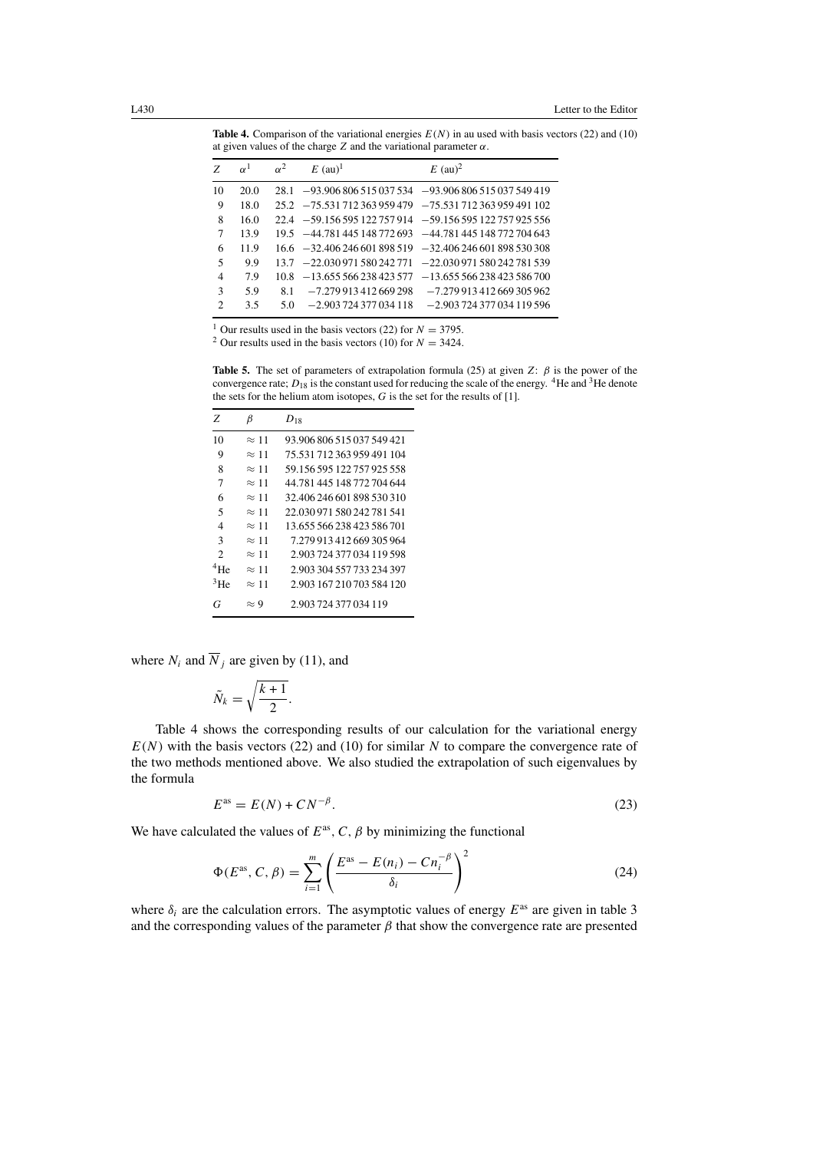**Table 4.** Comparison of the variational energies  $E(N)$  in au used with basis vectors (22) and (10) at given values of the charge Z and the variational parameter  $\alpha$ .

| Z  | $\alpha^1$ | $\alpha^2$ | $E$ (au) <sup>1</sup> |                      | $E$ (au) <sup>2</sup>                                    |  |
|----|------------|------------|-----------------------|----------------------|----------------------------------------------------------|--|
| 10 | 20.0       |            |                       |                      | 28.1 -93.906 806 515 037 534 -93.906 806 515 037 549 419 |  |
| 9  | 18.0       |            |                       |                      | $25.2 -75.531712363959479 -75.531712363959491102$        |  |
| 8  | 16.0       |            |                       |                      | $22.4 -59.156595122757914 -59.156595122757925556$        |  |
| 7  | 13.9       |            |                       |                      | 19.5 -44.781 445 148 772 693 -44.781 445 148 772 704 643 |  |
| 6  | 11.9       |            |                       |                      | $16.6 - 32.406246601898519 - 32.406246601898530308$      |  |
| 5  | 99         |            |                       |                      | $13.7 -22.030971580242771 -22.030971580242781539$        |  |
| 4  | 79         | 10.8       |                       |                      | $-13.655566238423577 -13.655566238423586700$             |  |
| 3  | 59         | 81         |                       | $-7.279913412669298$ | $-7.279913412669305962$                                  |  |
| っ  | 3.5        | 5.0        |                       | $-2.903724377034118$ | $-2.903724377034119596$                                  |  |

<sup>1</sup> Our results used in the basis vectors (22) for  $N = 3795$ .<br><sup>2</sup> Our results used in the basis vectors (10) for  $N = 3424$ .

**Table 5.** The set of parameters of extrapolation formula (25) at given Z:  $\beta$  is the power of the convergence rate;  $D_{18}$  is the constant used for reducing the scale of the energy. <sup>4</sup>He and <sup>3</sup>He denote the sets for the helium atom isotopes,  $G$  is the set for the results of [1].

| Z              | ß            | $D_{18}$                   |
|----------------|--------------|----------------------------|
| 10             | $\approx$ 11 | 93.906 806 515 037 549 421 |
| 9              | $\approx$ 11 | 75.531 712 363 959 491 104 |
| 8              | $\approx$ 11 | 59 156 595 122 757 925 558 |
| 7              | $\approx$ 11 | 44 781 445 148 772 704 644 |
| 6              | $\approx$ 11 | 32.406 246 601 898 530 310 |
| 5              | $\approx$ 11 | 22.030 971 580 242 781 541 |
| 4              | $\approx$ 11 | 13 655 566 238 423 586 701 |
| $\mathcal{R}$  | $\approx$ 11 | 7 279 913 412 669 305 964  |
| $\mathfrak{D}$ | $\approx$ 11 | 2.903 724 377 034 119 598  |
| $^{4}$ He      | $\approx$ 11 | 2.903 304 557 733 234 397  |
| 3He            | $\approx$ 11 | 2.903 167 210 703 584 120  |
| G              | $\approx$ 9  | 2.903 724 377 034 119      |

where  $N_i$  and  $\overline{N}_j$  are given by (11), and

$$
\tilde{N}_k = \sqrt{\frac{k+1}{2}}.
$$

Table 4 shows the corresponding results of our calculation for the variational energy  $E(N)$  with the basis vectors (22) and (10) for similar N to compare the convergence rate of the two methods mentioned above. We also studied the extrapolation of such eigenvalues by the formula

$$
E^{as} = E(N) + CN^{-\beta}.
$$
 (23)

We have calculated the values of  $E^{as}$ , C,  $\beta$  by minimizing the functional

$$
\Phi(E^{as}, C, \beta) = \sum_{i=1}^{m} \left( \frac{E^{as} - E(n_i) - C n_i^{-\beta}}{\delta_i} \right)^2
$$
\n(24)

where  $\delta_i$  are the calculation errors. The asymptotic values of energy  $E^{as}$  are given in table 3 and the corresponding values of the parameter  $\beta$  that show the convergence rate are presented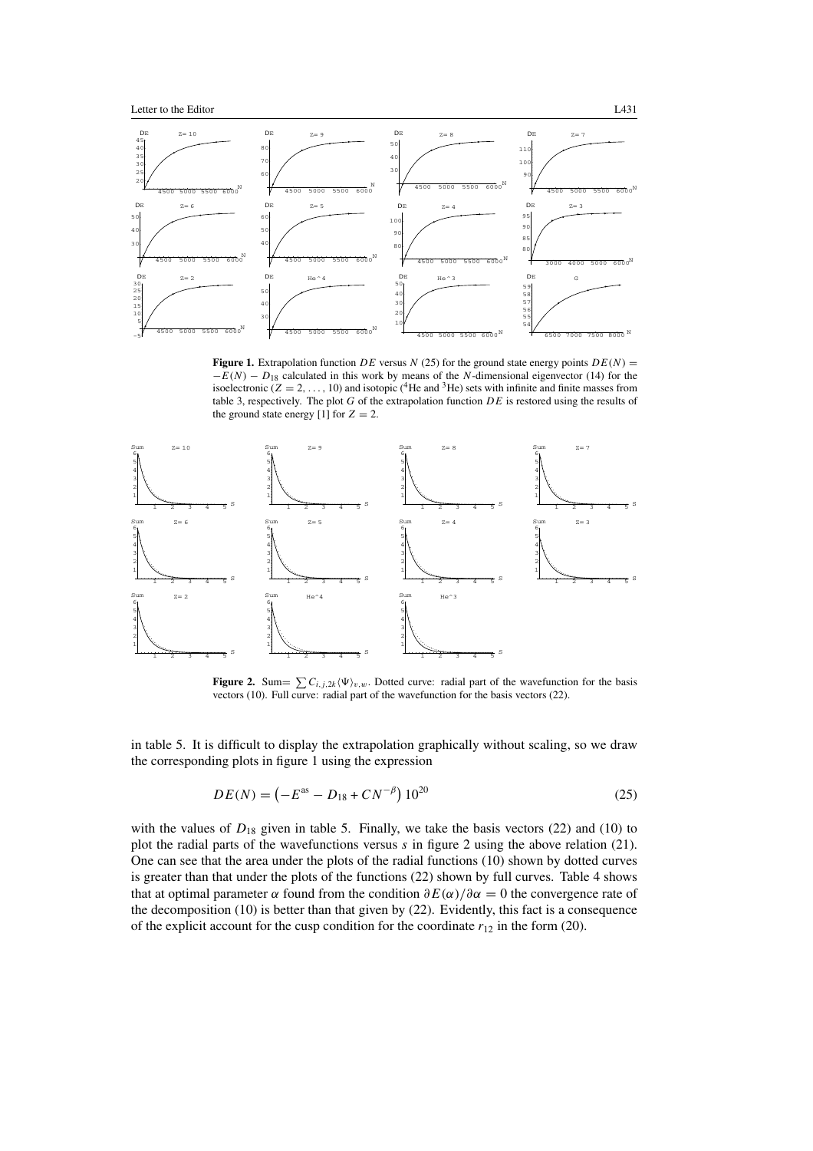

**Figure 1.** Extrapolation function DE versus N (25) for the ground state energy points  $DE(N)$  =  $-E(N) - D_{18}$  calculated in this work by means of the N-dimensional eigenvector (14) for the isoelectronic ( $Z = 2, ..., 10$ ) and isotopic (<sup>4</sup>He and <sup>3</sup>He) sets with infinite and finite masses from table 3, respectively. The plot  $G$  of the extrapolation function  $DE$  is restored using the results of the ground state energy [1] for  $Z = 2$ .



**Figure 2.** Sum=  $\sum C_{i,j,2k} \langle \Psi \rangle_{v,w}$ . Dotted curve: radial part of the wavefunction for the basis vectors (10). Full curve: radial part of the wavefunction for the basis vectors (22).

in table 5. It is difficult to display the extrapolation graphically without scaling, so we draw the corresponding plots in figure 1 using the expression

$$
DE(N) = \left(-E^{\text{as}} - D_{18} + CN^{-\beta}\right)10^{20}
$$
\n(25)

with the values of  $D_{18}$  given in table 5. Finally, we take the basis vectors (22) and (10) to plot the radial parts of the wavefunctions versus s in figure 2 using the above relation (21). One can see that the area under the plots of the radial functions (10) shown by dotted curves is greater than that under the plots of the functions (22) shown by full curves. Table 4 shows that at optimal parameter  $\alpha$  found from the condition  $\frac{\partial E(\alpha)}{\partial \alpha} = 0$  the convergence rate of the decomposition (10) is better than that given by (22). Evidently, this fact is a consequence of the explicit account for the cusp condition for the coordinate  $r_{12}$  in the form (20).